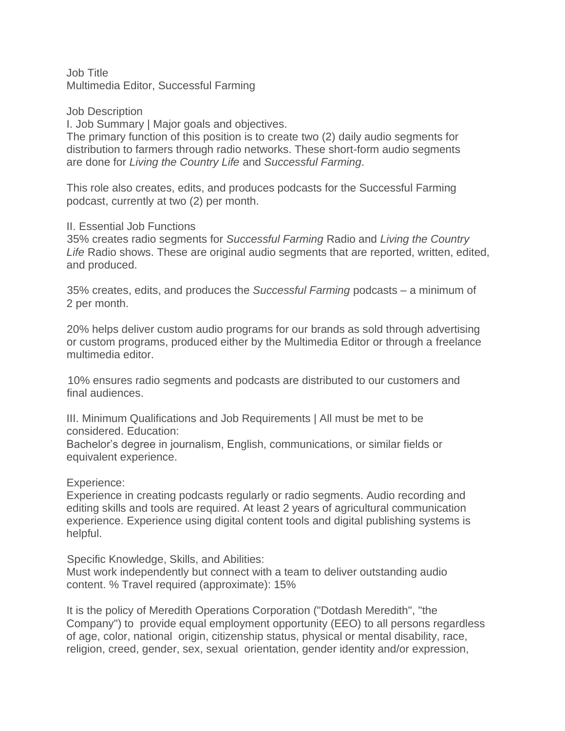Job Title Multimedia Editor, Successful Farming

Job Description

I. Job Summary | Major goals and objectives.

The primary function of this position is to create two (2) daily audio segments for distribution to farmers through radio networks. These short-form audio segments are done for *Living the Country Life* and *Successful Farming*.

This role also creates, edits, and produces podcasts for the Successful Farming podcast, currently at two (2) per month.

## II. Essential Job Functions

35% creates radio segments for *Successful Farming* Radio and *Living the Country Life* Radio shows. These are original audio segments that are reported, written, edited, and produced.

35% creates, edits, and produces the *Successful Farming* podcasts – a minimum of 2 per month.

20% helps deliver custom audio programs for our brands as sold through advertising or custom programs, produced either by the Multimedia Editor or through a freelance multimedia editor.

10% ensures radio segments and podcasts are distributed to our customers and final audiences.

III. Minimum Qualifications and Job Requirements | All must be met to be considered. Education:

Bachelor's degree in journalism, English, communications, or similar fields or equivalent experience.

Experience:

Experience in creating podcasts regularly or radio segments. Audio recording and editing skills and tools are required. At least 2 years of agricultural communication experience. Experience using digital content tools and digital publishing systems is helpful.

Specific Knowledge, Skills, and Abilities:

Must work independently but connect with a team to deliver outstanding audio content. % Travel required (approximate): 15%

It is the policy of Meredith Operations Corporation ("Dotdash Meredith", "the Company") to provide equal employment opportunity (EEO) to all persons regardless of age, color, national origin, citizenship status, physical or mental disability, race, religion, creed, gender, sex, sexual orientation, gender identity and/or expression,